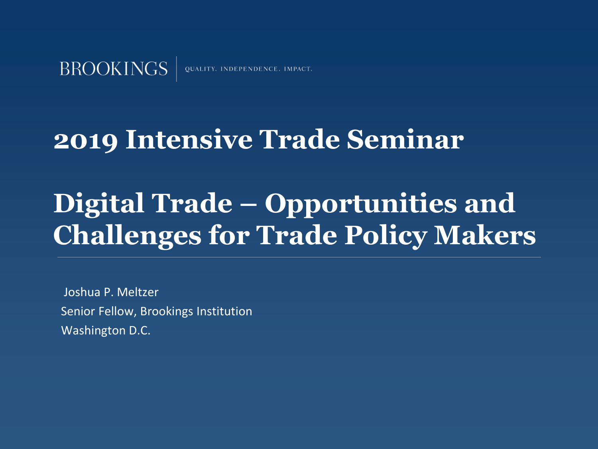QUALITY. INDEPENDENCE. IMPACT.

### **2019 Intensive Trade Seminar**

## **Digital Trade – Opportunities and Challenges for Trade Policy Makers**

Joshua P. Meltzer Senior Fellow, Brookings Institution Washington D.C.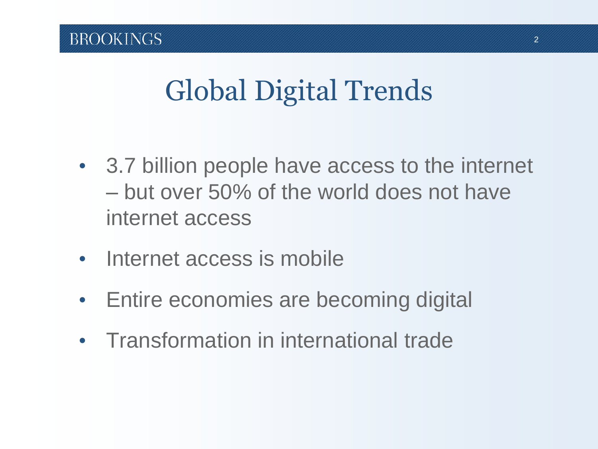## Global Digital Trends

- 3.7 billion people have access to the internet – but over 50% of the world does not have internet access
- Internet access is mobile
- Entire economies are becoming digital
- Transformation in international trade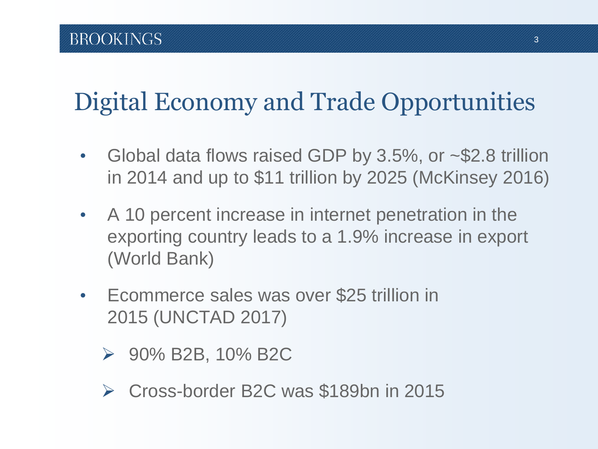## Digital Economy and Trade Opportunities

- Global data flows raised GDP by 3.5%, or ~\$2.8 trillion in 2014 and up to \$11 trillion by 2025 (McKinsey 2016)
- A 10 percent increase in internet penetration in the exporting country leads to a 1.9% increase in export (World Bank)
- Ecommerce sales was over \$25 trillion in 2015 (UNCTAD 2017)
	- ➢ 90% B2B, 10% B2C
	- ➢ Cross-border B2C was \$189bn in 2015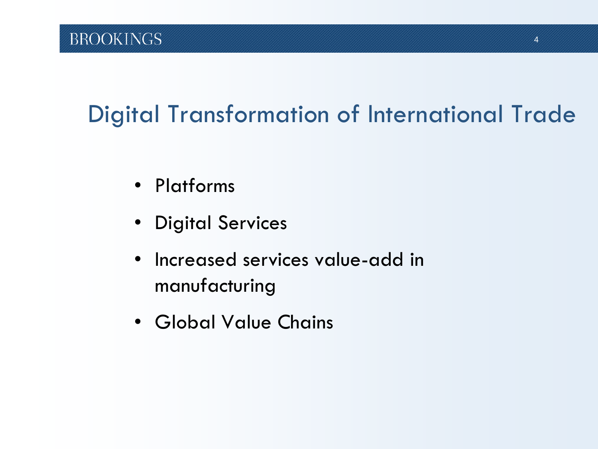### Digital Transformation of International Trade

- Platforms
- Digital Services
- Increased services value-add in manufacturing
- Global Value Chains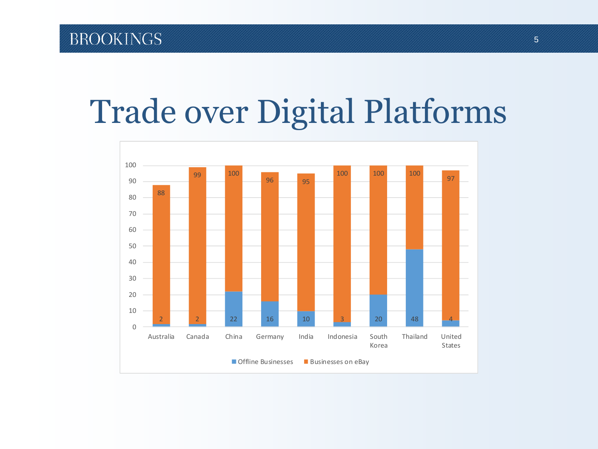# Trade over Digital Platforms

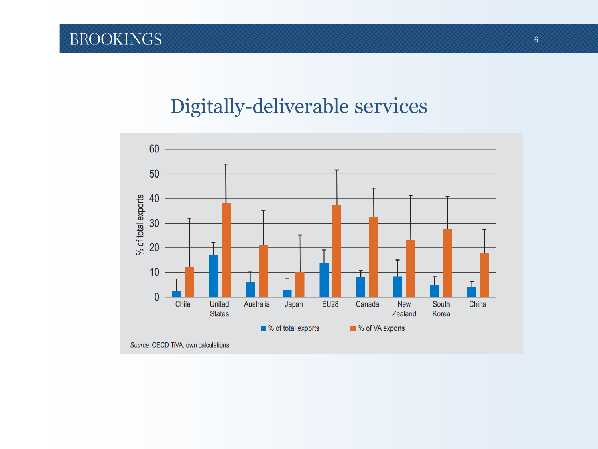#### Digitally-deliverable services

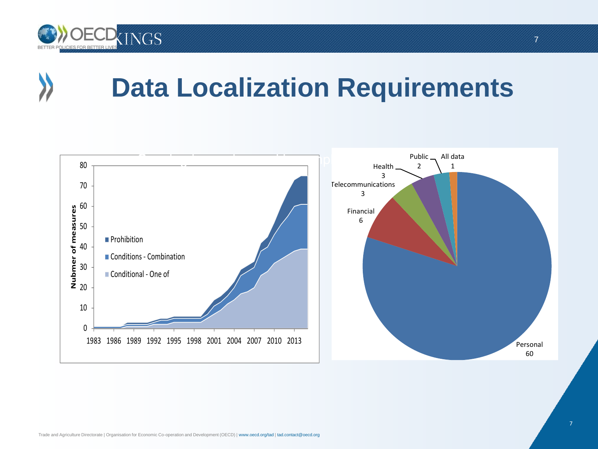

## **Data Localization Requirements**



7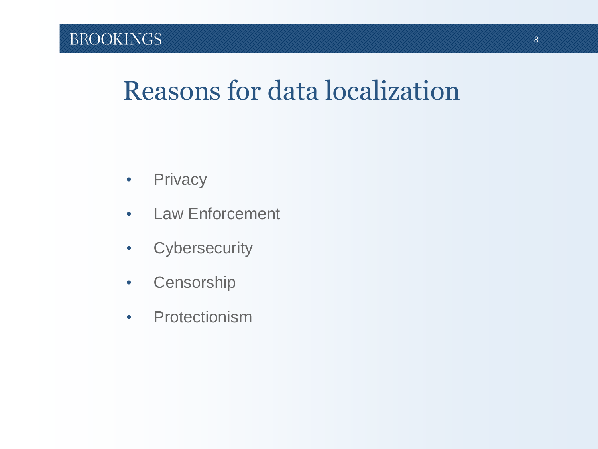## Reasons for data localization

- Privacy
- Law Enforcement
- Cybersecurity
- Censorship
- Protectionism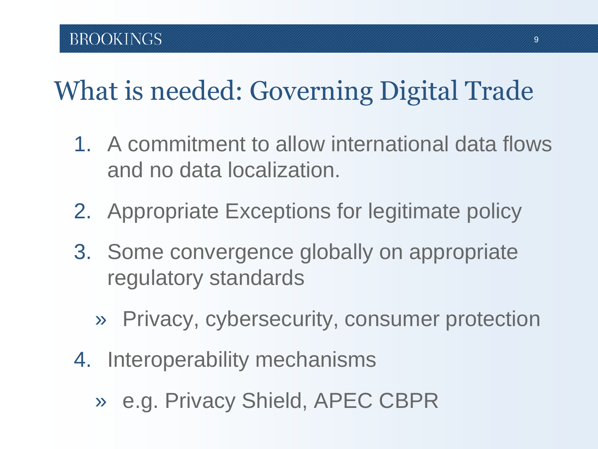## What is needed: Governing Digital Trade

- 1. A commitment to allow international data flows and no data localization.
- 2. Appropriate Exceptions for legitimate policy
- 3. Some convergence globally on appropriate regulatory standards
	- » Privacy, cybersecurity, consumer protection
- 4. Interoperability mechanisms
	- » e.g. Privacy Shield, APEC CBPR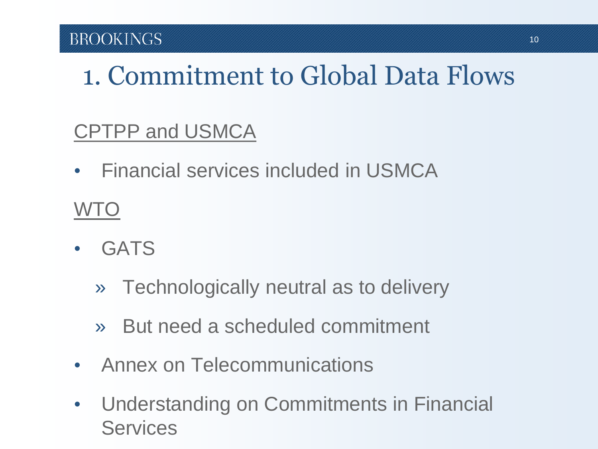## 1. Commitment to Global Data Flows

#### CPTPP and USMCA

• Financial services included in USMCA

#### W<sub>I</sub>O

- GATS
	- » Technologically neutral as to delivery
	- » But need a scheduled commitment
- Annex on Telecommunications
- Understanding on Commitments in Financial **Services**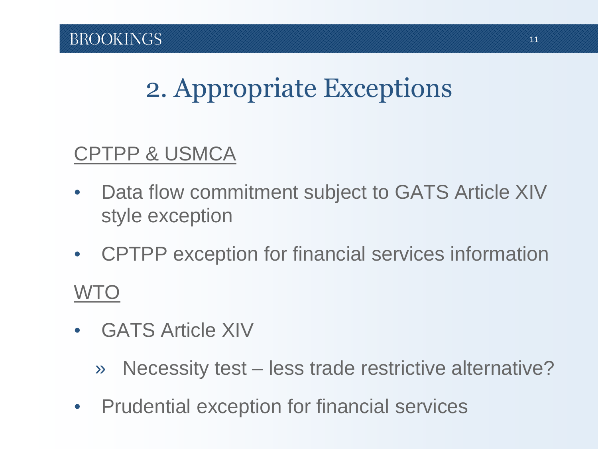## 2. Appropriate Exceptions

#### CPTPP & USMCA

- Data flow commitment subject to GATS Article XIV style exception
- CPTPP exception for financial services information WTO
- GATS Article XIV
	- » Necessity test less trade restrictive alternative?
- Prudential exception for financial services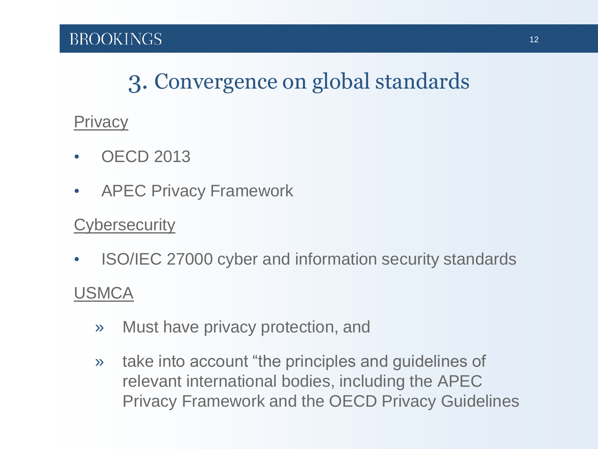#### 3. Convergence on global standards

#### **Privacy**

- **OECD 2013**
- APEC Privacy Framework

#### **Cybersecurity**

• ISO/IEC 27000 cyber and information security standards

#### USMCA

- » Must have privacy protection, and
- » take into account "the principles and guidelines of relevant international bodies, including the APEC Privacy Framework and the OECD Privacy Guidelines